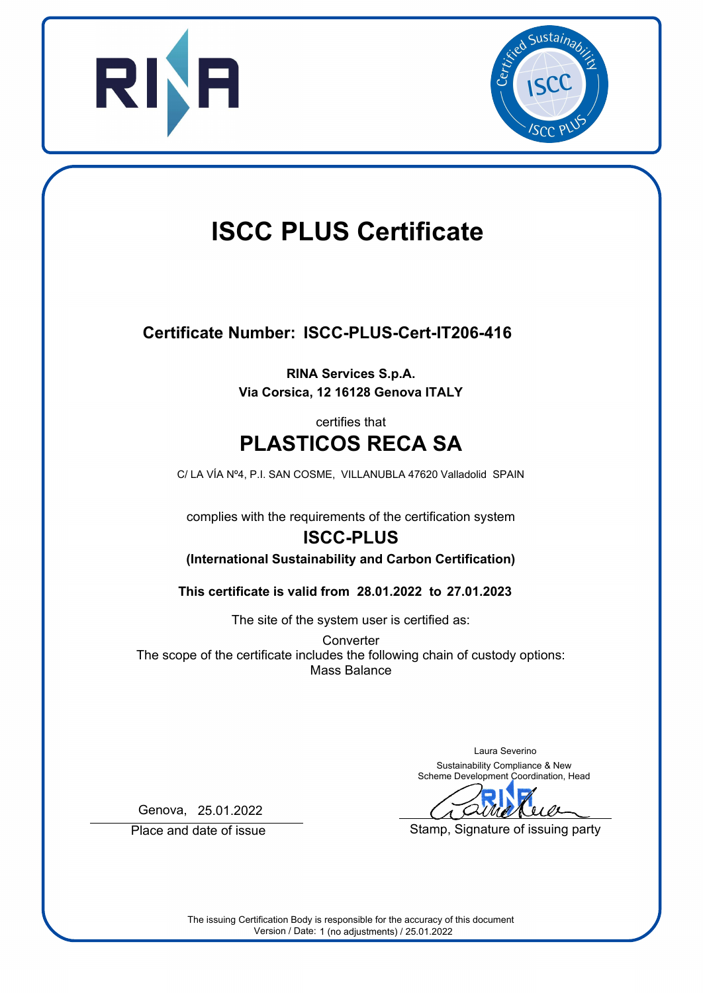



# **ISCC PLUS Certificate**

## **Certificate Number: ISCC-PLUS-Cert-IT206-416**

**RINA Services S.p.A. Via Corsica, 12 16128 Genova ITALY**

### **PLASTICOS RECA SA** certifies that

C/ LA VÍA Nº4, P.I. SAN COSME, VILLANUBLA 47620 Valladolid SPAIN

complies with the requirements of the certification system

# **ISCC-PLUS**

**(International Sustainability and Carbon Certification)**

**28.01.2022 27.01.2023 This certificate is valid from to**

The site of the system user is certified as:

**Converter** The scope of the certificate includes the following chain of custody options: Mass Balance

> Laura Severino Sustainability Compliance & New Scheme Development Coordination, Head

Stamp, Signature of issuing party

Genova, 25.01.2022

Place and date of issue

The issuing Certification Body is responsible for the accuracy of this document Version / Date: 1 (no adjustments) / 25.01.2022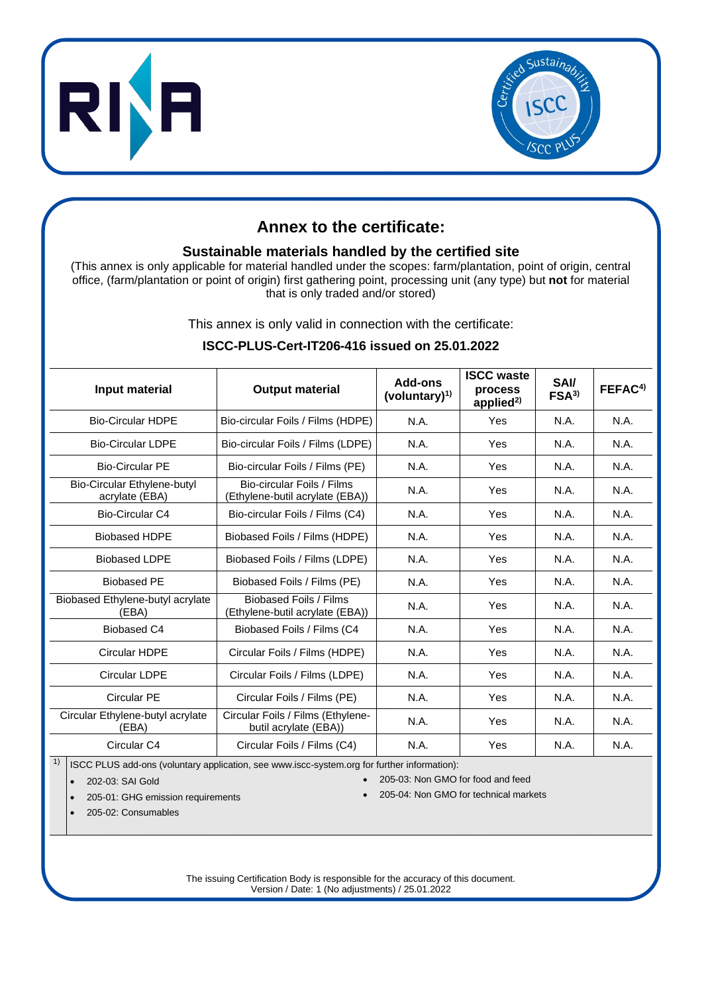



#### **Annex to the certificate:**

#### **Sustainable materials handled by the certified site**

(This annex is only applicable for material handled under the scopes: farm/plantation, point of origin, central office, (farm/plantation or point of origin) first gathering point, processing unit (any type) but **not** for material that is only traded and/or stored)

This annex is only valid in connection with the certificate:

#### **Input material Output material Add-ons (voluntary)1) ISCC waste process applied2)** SAI/<br>FSA<sup>3)</sup> **FSA3) FEFAC4)** Bio-Circular HDPE | Bio-circular Foils / Films (HDPE) | N.A. | Yes | N.A. | N.A. Bio-Circular LDPE | Bio-circular Foils / Films (LDPE) | N.A. | Yes | N.A. | N.A. Bio-Circular PE | Bio-circular Foils / Films (PE) | N.A. | Yes | N.A. | N.A. Bio-Circular Ethylene-butyl acrylate (EBA) Bio-circular Foils / Films Bio-circular Folls / Films<br>(Ethylene-butil acrylate (EBA)) N.A. Yes N.A. N.A. Bio-Circular C4 | Bio-circular Foils / Films (C4) | N.A. | Yes | N.A. | N.A. Biobased HDPE Biobased Foils / Films (HDPE) N.A. Yes N.A. N.A. N.A. Biobased LDPE | Biobased Foils / Films (LDPE) | N.A. | Yes | N.A. | N.A. Biobased PE | Biobased Foils / Films (PE) | N.A. | Yes | N.A. | N.A. Biobased Ethylene-butyl acrylate (EBA) Biobased Foils / Films Ethylene-butil acrylate (EBA)) N.A. Yes N.A. N.A. N.A. Biobased C4 Biobased Foils / Films (C4 N.A. N.A. Yes N.A. N.A. N.A. Circular HDPE | Circular Foils / Films (HDPE) | N.A. | Yes | N.A. | N.A. Circular LDPE | Circular Foils / Films (LDPE) | N.A. | Yes | N.A. | N.A. Circular PE Circular Foils / Films (PE) N.A. | Yes | N.A. | N.A. Circular Ethylene-butyl acrylate (EBA) Circular Foils / Films (Ethylenenai Folis / Filifis (Etilylefie-<br>butil acrylate (EBA)) M.A. (N.A. N.A. N.A. N.A. Circular C4 Circular Foils / Films (C4) N.A. | Yes N.A. | N.A.

#### **ISCC-PLUS-Cert-IT206-416 issued on 25.01.2022**

 $1)$  ISCC PLUS add-ons (voluntary application, see www.iscc-system.org for further information):

- 
- 202-03: SAI Gold 205-03: Non GMO for food and feed
- 205-01: GHG emission requirements 205-04: Non GMO for technical markets

• 205-02: Consumables

The issuing Certification Body is responsible for the accuracy of this document. Version / Date: 1 (No adjustments) / 25.01.2022